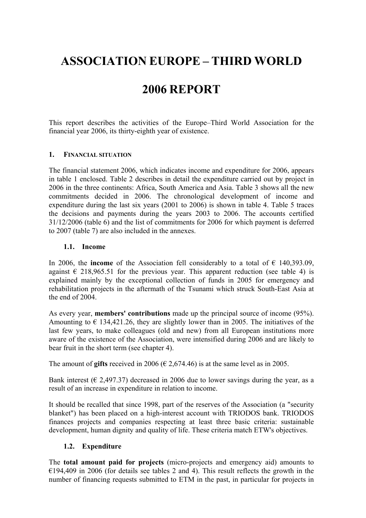# **ASSOCIATION EUROPE – THIRD WORLD**

## **2006 REPORT**

This report describes the activities of the Europe–Third World Association for the financial year 2006, its thirty-eighth year of existence.

#### **1. FINANCIAL SITUATION**

The financial statement 2006, which indicates income and expenditure for 2006, appears in table 1 enclosed. Table 2 describes in detail the expenditure carried out by project in 2006 in the three continents: Africa, South America and Asia. Table 3 shows all the new commitments decided in 2006. The chronological development of income and expenditure during the last six years (2001 to 2006) is shown in table 4. Table 5 traces the decisions and payments during the years 2003 to 2006. The accounts certified 31/12/2006 (table 6) and the list of commitments for 2006 for which payment is deferred to 2007 (table 7) are also included in the annexes.

#### **1.1. Income**

In 2006, the **income** of the Association fell considerably to a total of  $\epsilon$  140,393.09, against  $\epsilon$  218,965.51 for the previous year. This apparent reduction (see table 4) is explained mainly by the exceptional collection of funds in 2005 for emergency and rehabilitation projects in the aftermath of the Tsunami which struck South-East Asia at the end of 2004.

As every year, **members' contributions** made up the principal source of income (95%). Amounting to  $\epsilon$  134,421.26, they are slightly lower than in 2005. The initiatives of the last few years, to make colleagues (old and new) from all European institutions more aware of the existence of the Association, were intensified during 2006 and are likely to bear fruit in the short term (see chapter 4).

The amount of **gifts** received in 2006 ( $\epsilon$  2,674.46) is at the same level as in 2005.

Bank interest ( $\epsilon$  2,497.37) decreased in 2006 due to lower savings during the year, as a result of an increase in expenditure in relation to income.

It should be recalled that since 1998, part of the reserves of the Association (a "security blanket") has been placed on a high-interest account with TRIODOS bank. TRIODOS finances projects and companies respecting at least three basic criteria: sustainable development, human dignity and quality of life. These criteria match ETW's objectives.

#### **1.2. Expenditure**

The **total amount paid for projects** (micro-projects and emergency aid) amounts to  $€194,409$  in 2006 (for details see tables 2 and 4). This result reflects the growth in the number of financing requests submitted to ETM in the past, in particular for projects in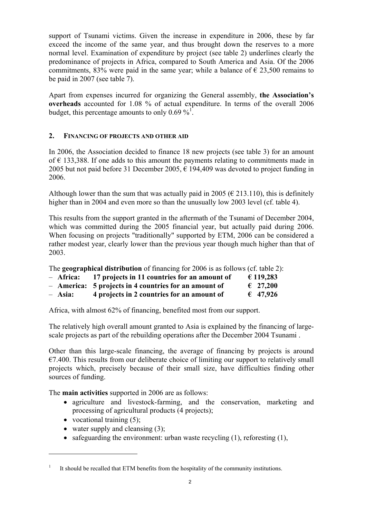support of Tsunami victims. Given the increase in expenditure in 2006, these by far exceed the income of the same year, and thus brought down the reserves to a more normal level. Examination of expenditure by project (see table 2) underlines clearly the predominance of projects in Africa, compared to South America and Asia. Of the 2006 commitments, 83% were paid in the same year; while a balance of  $\epsilon$  23,500 remains to be paid in 2007 (see table 7).

Apart from expenses incurred for organizing the General assembly, **the Association's overheads** accounted for 1.08 % of actual expenditure. In terms of the overall 2006 budget, this percentage amounts to only 0.69  $\frac{1}{2}$ .

### **2. FINANCING OF PROJECTS AND OTHER AID**

In 2006, the Association decided to finance 18 new projects (see table 3) for an amount of  $\epsilon$  133,388. If one adds to this amount the payments relating to commitments made in 2005 but not paid before 31 December 2005,  $\epsilon$  194,409 was devoted to project funding in 2006.

Although lower than the sum that was actually paid in 2005 ( $\epsilon$  213.110), this is definitely higher than in 2004 and even more so than the unusually low 2003 level (cf. table 4).

This results from the support granted in the aftermath of the Tsunami of December 2004, which was committed during the 2005 financial year, but actually paid during 2006. When focusing on projects "traditionally" supported by ETM, 2006 can be considered a rather modest year, clearly lower than the previous year though much higher than that of 2003.

The **geographical distribution** of financing for 2006 is as follows (cf. table 2):

| - Africa: | 17 projects in 11 countries for an amount of          | € 119,283         |
|-----------|-------------------------------------------------------|-------------------|
|           | - America: 5 projects in 4 countries for an amount of | $\epsilon$ 27,200 |
| - Asia:   | 4 projects in 2 countries for an amount of            | $\epsilon$ 47,926 |

Africa, with almost 62% of financing, benefited most from our support.

The relatively high overall amount granted to Asia is explained by the financing of largescale projects as part of the rebuilding operations after the December 2004 Tsunami .

Other than this large-scale financing, the average of financing by projects is around  $€7.400$ . This results from our deliberate choice of limiting our support to relatively small projects which, precisely because of their small size, have difficulties finding other sources of funding.

The **main activities** supported in 2006 are as follows:

- agriculture and livestock-farming, and the conservation, marketing and processing of agricultural products (4 projects);
- vocational training  $(5)$ ;

 $\overline{a}$ 

- water supply and cleansing  $(3)$ ;
- safeguarding the environment: urban waste recycling (1), reforesting (1),

<sup>1</sup> It should be recalled that ETM benefits from the hospitality of the community institutions.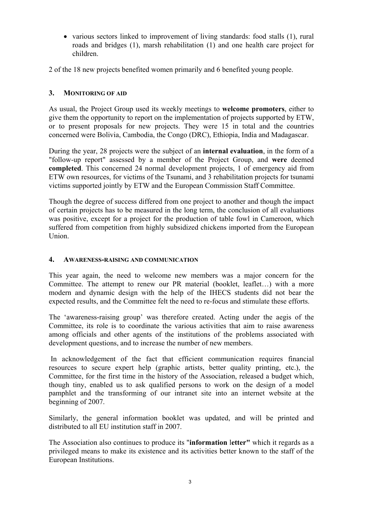• various sectors linked to improvement of living standards: food stalls (1), rural roads and bridges (1), marsh rehabilitation (1) and one health care project for children.

2 of the 18 new projects benefited women primarily and 6 benefited young people.

## **3. MONITORING OF AID**

As usual, the Project Group used its weekly meetings to **welcome promoters**, either to give them the opportunity to report on the implementation of projects supported by ETW, or to present proposals for new projects. They were 15 in total and the countries concerned were Bolivia, Cambodia, the Congo (DRC), Ethiopia, India and Madagascar.

During the year, 28 projects were the subject of an **internal evaluation**, in the form of a "follow-up report" assessed by a member of the Project Group, and **were** deemed **completed**. This concerned 24 normal development projects, 1 of emergency aid from ETW own resources, for victims of the Tsunami, and 3 rehabilitation projects for tsunami victims supported jointly by ETW and the European Commission Staff Committee.

Though the degree of success differed from one project to another and though the impact of certain projects has to be measured in the long term, the conclusion of all evaluations was positive, except for a project for the production of table fowl in Cameroon, which suffered from competition from highly subsidized chickens imported from the European Union.

#### **4. AWARENESS-RAISING AND COMMUNICATION**

This year again, the need to welcome new members was a major concern for the Committee. The attempt to renew our PR material (booklet, leaflet…) with a more modern and dynamic design with the help of the IHECS students did not bear the expected results, and the Committee felt the need to re-focus and stimulate these efforts.

The 'awareness-raising group' was therefore created. Acting under the aegis of the Committee, its role is to coordinate the various activities that aim to raise awareness among officials and other agents of the institutions of the problems associated with development questions, and to increase the number of new members.

 In acknowledgement of the fact that efficient communication requires financial resources to secure expert help (graphic artists, better quality printing, etc.), the Committee, for the first time in the history of the Association, released a budget which, though tiny, enabled us to ask qualified persons to work on the design of a model pamphlet and the transforming of our intranet site into an internet website at the beginning of 2007.

Similarly, the general information booklet was updated, and will be printed and distributed to all EU institution staff in 2007.

The Association also continues to produce its "**information** l**etter"** which it regards as a privileged means to make its existence and its activities better known to the staff of the European Institutions.